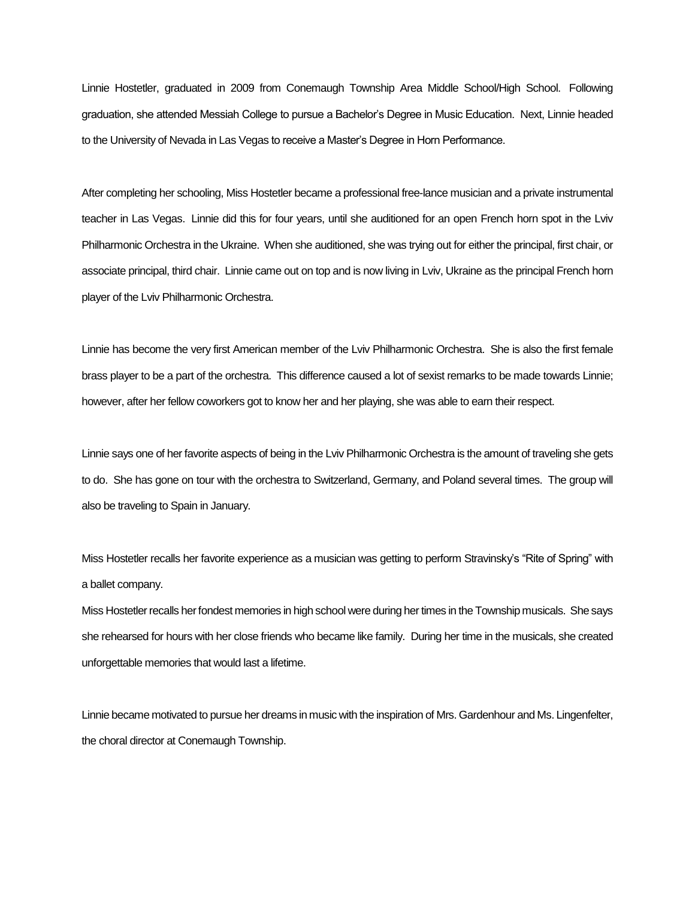Linnie Hostetler, graduated in 2009 from Conemaugh Township Area Middle School/High School. Following graduation, she attended Messiah College to pursue a Bachelor's Degree in Music Education. Next, Linnie headed to the University of Nevada in Las Vegas to receive a Master's Degree in Horn Performance.

After completing her schooling, Miss Hostetler became a professional free-lance musician and a private instrumental teacher in Las Vegas. Linnie did this for four years, until she auditioned for an open French horn spot in the Lviv Philharmonic Orchestra in the Ukraine. When she auditioned, she was trying out for either the principal, first chair, or associate principal, third chair. Linnie came out on top and is now living in Lviv, Ukraine as the principal French horn player of the Lviv Philharmonic Orchestra.

Linnie has become the very first American member of the Lviv Philharmonic Orchestra. She is also the first female brass player to be a part of the orchestra. This difference caused a lot of sexist remarks to be made towards Linnie; however, after her fellow coworkers got to know her and her playing, she was able to earn their respect.

Linnie says one of her favorite aspects of being in the Lviv Philharmonic Orchestra is the amount of traveling she gets to do. She has gone on tour with the orchestra to Switzerland, Germany, and Poland several times. The group will also be traveling to Spain in January.

Miss Hostetler recalls her favorite experience as a musician was getting to perform Stravinsky's "Rite of Spring" with a ballet company.

Miss Hostetler recalls her fondest memories in high school were during her times in the Township musicals. She says she rehearsed for hours with her close friends who became like family. During her time in the musicals, she created unforgettable memories that would last a lifetime.

Linnie became motivated to pursue her dreams in music with the inspiration of Mrs. Gardenhour and Ms. Lingenfelter, the choral director at Conemaugh Township.